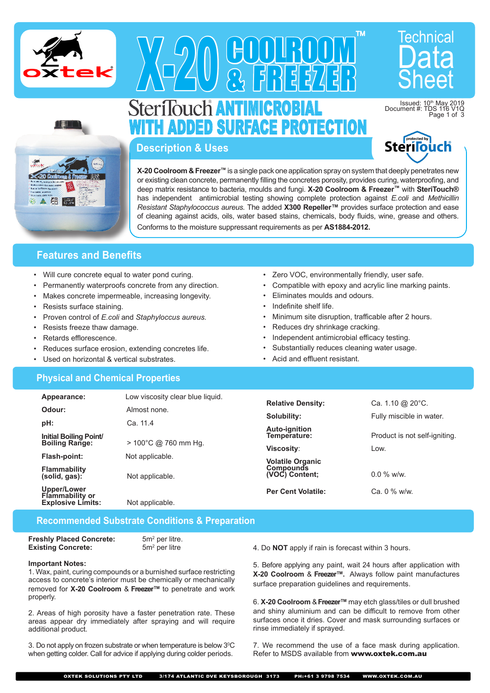



# X-20 GUUTIULU<br>A-20 & FEEZEE Sheet SLEITIOUCH <mark>an i imigrubial</mark> ADDED SURFACE PROTECTION

and the state of the con-



Issued: 10<sup>th</sup> May<br>Document #: TDS 116

Technical

**Description & Uses**

**X-20 Coolroom & Freezer™** is a single pack one application spray on system that deeply penetrates new or existing clean concrete, permanently filling the concretes porosity, provides curing, waterproofing, and deep matrix resistance to bacteria, moulds and fungi. **X-20 Coolroom & Freezer™** with **SteriTouch®** has independent antimicrobial testing showing complete protection against *E.coli* and *Methicillin Resistant Staphylococcus aureus.* The added **X300 Repeller™** provides surface protection and ease of cleaning against acids, oils, water based stains, chemicals, body fluids, wine, grease and others. Conforms to the moisture suppressant requirements as per **AS1884-2012.**

COOLROOM

& FREEZER

# **Features and Benefits**

- Will cure concrete equal to water pond curing.
- Permanently waterproofs concrete from any direction.
- Makes concrete impermeable, increasing longevity.
- Resists surface staining.
- Proven control of *E.coli* and *Staphyloccus aureus.*
- Resists freeze thaw damage.
- Retards efflorescence.
- Reduces surface erosion, extending concretes life.
- Used on horizontal & vertical substrates.

### **Physical and Chemical Properties**

- Zero VOC, environmentally friendly, user safe.
- Compatible with epoxy and acrylic line marking paints.

TM

- Eliminates moulds and odours.
- Indefinite shelf life.
- Minimum site disruption, trafficable after 2 hours.
- Reduces dry shrinkage cracking.
- Independent antimicrobial efficacy testing.
- Substantially reduces cleaning water usage.
- Acid and effluent resistant.

| Appearance:                                        | Low viscosity clear blue liquid. | <b>Relative Density:</b>           | Ca. 1.10 $@$ 20 $°C$ .        |  |
|----------------------------------------------------|----------------------------------|------------------------------------|-------------------------------|--|
| Odour:                                             | Almost none.                     |                                    |                               |  |
|                                                    |                                  | Solubility:                        | Fully miscible in water.      |  |
| pH:                                                | Ca. 11.4                         | <b>Auto-ignition</b>               |                               |  |
| Initial Boiling Point<br><b>Boiling Range:</b>     | $> 100^{\circ}$ C @ 760 mm Hg.   | Temperature:                       | Product is not self-igniting. |  |
|                                                    |                                  | Viscosity:                         | Low.                          |  |
| Flash-point:                                       | Not applicable.                  | <b>Volatile Organic</b>            |                               |  |
| <b>Flammability</b><br>(solid, gas):               | Not applicable.                  | <b>Compounds</b><br>(VOC) Content: | $0.0 \%$ w/w.                 |  |
| Upper/Lower                                        |                                  | <b>Per Cent Volatile:</b>          | Ca. 0 % w/w.                  |  |
| <b>Flammability or</b><br><b>Explosive Limits:</b> | Not applicable.                  |                                    |                               |  |
|                                                    |                                  |                                    |                               |  |

## **Recommended Substrate Conditions & Preparation**

**Freshly Placed Concrete: Existing Concrete:** 

5m<sup>2</sup> per litre.  $5m<sup>2</sup>$  per litre

#### **Important Notes:**

1. Wax, paint, curing compounds or a burnished surface restricting access to concrete's interior must be chemically or mechanically removed for **X-20 Coolroom** & **Freezer™** to penetrate and work properly.

2. Areas of high porosity have a faster penetration rate. These areas appear dry immediately after spraying and will require additional product.

3. Do not apply on frozen substrate or when temperature is below  $3^{\circ}$ C when getting colder. Call for advice if applying during colder periods.

4. Do **NOT** apply if rain is forecast within 3 hours.

5. Before applying any paint, wait 24 hours after application with **X-20 Coolroom** & **Freezer™.** Always follow paint manufactures surface preparation guidelines and requirements.

6. **X-20 Coolroom** & **Freezer™**may etch glass/tiles or dull brushed and shiny aluminium and can be difficult to remove from other surfaces once it dries. Cover and mask surrounding surfaces or rinse immediately if sprayed.

7. We recommend the use of a face mask during application. Refer to MSDS available from www.oxtek.com.au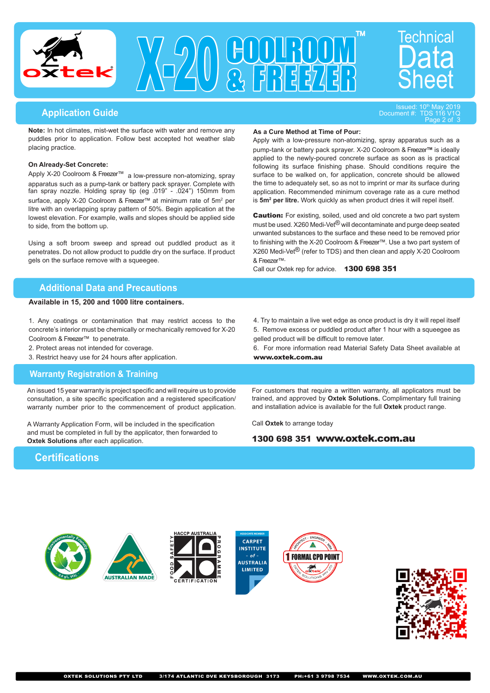



**As a Cure Method at Time of Pour:**

# ا <sup>«</sup>Issued: 10th May 2019 **Issued: 10th May 2019 Issued: 10th May 2019 Issued: 10th May 2019 Issued: 10th May 20<br>Document #: TDS**

Document #:  $V_1Q$ 

Technical

**Note:** In hot climates, mist-wet the surface with water and remove any puddles prior to application. Follow best accepted hot weather slab placing practice.

#### **On Already-Set Concrete:**

Apply X-20 Coolroom & Freezer™ a low-pressure non-atomizing, spray apparatus such as a pump-tank or battery pack sprayer. Complete with fan spray nozzle. Holding spray tip (eg .019" - .024") 150mm from surface, apply X-20 Coolroom & Freezer™ at minimum rate of 5m<sup>2</sup> per litre with an overlapping spray pattern of 50%. Begin application at the lowest elevation. For example, walls and slopes should be applied side to side, from the bottom up.

Using a soft broom sweep and spread out puddled product as it penetrates. Do not allow product to puddle dry on the surface. If product gels on the surface remove with a squeegee.

#### **Additional Data and Precautions**

#### **Available in 15, 200 and 1000 litre containers.**

1. Any coatings or contamination that may restrict access to the concrete's interior must be chemically or mechanically removed for X-20 Coolroom & Freezer™ to penetrate.

2. Protect areas not intended for coverage.

3. Restrict heavy use for 24 hours after application.

#### **Warranty Registration & Training**

An issued 15 year warranty is project specific and will require us to provide consultation, a site specific specification and a registered specification/ warranty number prior to the commencement of product application.

A Warranty Application Form, will be included in the specification and must be completed in full by the applicator, then forwarded to **Oxtek Solutions** after each application.

4. Try to maintain a live wet edge as once product is dry it will repel itself 5. Remove excess or puddled product after 1 hour with a squeegee as gelled product will be difficult to remove later.

Apply with a low-pressure non-atomizing, spray apparatus such as a pump-tank or battery pack sprayer. X-20 Coolroom & Freezer**™** is ideally applied to the newly-poured concrete surface as soon as is practical following its surface finishing phase. Should conditions require the surface to be walked on, for application, concrete should be allowed the time to adequately set, so as not to imprint or mar its surface during application. Recommended minimum coverage rate as a cure method is **5m2 per litre.** Work quickly as when product dries it will repel itself. **Caution:** For existing, soiled, used and old concrete a two part system must be used. X260 Medi-Vet<sup>®</sup> will decontaminate and purge deep seated unwanted substances to the surface and these need to be removed prior to finishing with the X-20 Coolroom & Freezer™. Use a two part system of X260 Medi-Vet® (refer to TDS) and then clean and apply X-20 Coolroom

6. For more information read Material Safety Data Sheet available at www.oxtek.com.au

For customers that require a written warranty, all applicators must be trained, and approved by **Oxtek Solutions.** Complimentary full training and installation advice is available for the full **Oxtek** product range.

Call **Oxtek** to arrange today

& Freezer™.

#### 1300 698 351 www.oxtek.com.au

Call our Oxtek rep for advice. 1300 698 351

# **Certifications**